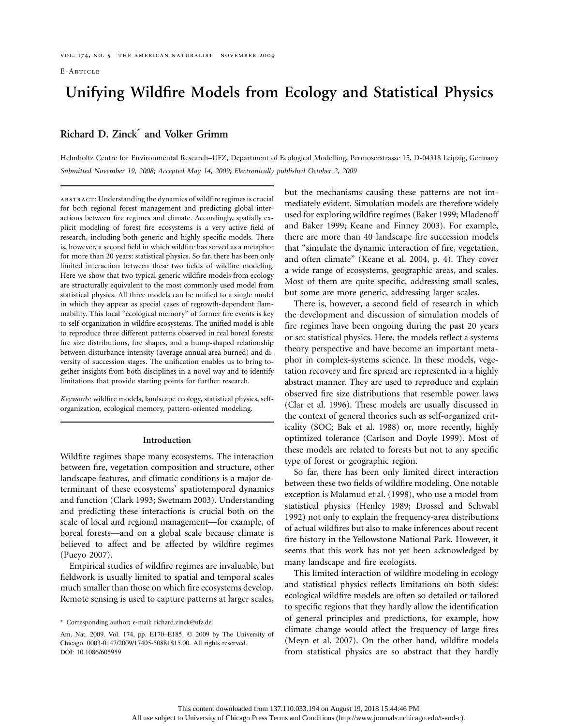# **Unifying Wildfire Models from Ecology and Statistical Physics**

# **Richard D. Zinck**\* **and Volker Grimm**

Helmholtz Centre for Environmental Research–UFZ, Department of Ecological Modelling, Permoserstrasse 15, D-04318 Leipzig, Germany *Submitted November 19, 2008; Accepted May 14, 2009; Electronically published October 2, 2009*

abstract: Understanding the dynamics of wildfire regimes is crucial for both regional forest management and predicting global interactions between fire regimes and climate. Accordingly, spatially explicit modeling of forest fire ecosystems is a very active field of research, including both generic and highly specific models. There is, however, a second field in which wildfire has served as a metaphor for more than 20 years: statistical physics. So far, there has been only limited interaction between these two fields of wildfire modeling. Here we show that two typical generic wildfire models from ecology are structurally equivalent to the most commonly used model from statistical physics. All three models can be unified to a single model in which they appear as special cases of regrowth-dependent flammability. This local "ecological memory" of former fire events is key to self-organization in wildfire ecosystems. The unified model is able to reproduce three different patterns observed in real boreal forests: fire size distributions, fire shapes, and a hump-shaped relationship between disturbance intensity (average annual area burned) and diversity of succession stages. The unification enables us to bring together insights from both disciplines in a novel way and to identify limitations that provide starting points for further research.

*Keywords:* wildfire models, landscape ecology, statistical physics, selforganization, ecological memory, pattern-oriented modeling.

#### **Introduction**

Wildfire regimes shape many ecosystems. The interaction between fire, vegetation composition and structure, other landscape features, and climatic conditions is a major determinant of these ecosystems' spatiotemporal dynamics and function (Clark 1993; Swetnam 2003). Understanding and predicting these interactions is crucial both on the scale of local and regional management—for example, of boreal forests—and on a global scale because climate is believed to affect and be affected by wildfire regimes (Pueyo 2007).

Empirical studies of wildfire regimes are invaluable, but fieldwork is usually limited to spatial and temporal scales much smaller than those on which fire ecosystems develop. Remote sensing is used to capture patterns at larger scales, but the mechanisms causing these patterns are not immediately evident. Simulation models are therefore widely used for exploring wildfire regimes (Baker 1999; Mladenoff and Baker 1999; Keane and Finney 2003). For example, there are more than 40 landscape fire succession models that "simulate the dynamic interaction of fire, vegetation, and often climate" (Keane et al. 2004, p. 4). They cover a wide range of ecosystems, geographic areas, and scales. Most of them are quite specific, addressing small scales, but some are more generic, addressing larger scales.

There is, however, a second field of research in which the development and discussion of simulation models of fire regimes have been ongoing during the past 20 years or so: statistical physics. Here, the models reflect a systems theory perspective and have become an important metaphor in complex-systems science. In these models, vegetation recovery and fire spread are represented in a highly abstract manner. They are used to reproduce and explain observed fire size distributions that resemble power laws (Clar et al. 1996). These models are usually discussed in the context of general theories such as self-organized criticality (SOC; Bak et al. 1988) or, more recently, highly optimized tolerance (Carlson and Doyle 1999). Most of these models are related to forests but not to any specific type of forest or geographic region.

So far, there has been only limited direct interaction between these two fields of wildfire modeling. One notable exception is Malamud et al. (1998), who use a model from statistical physics (Henley 1989; Drossel and Schwabl 1992) not only to explain the frequency-area distributions of actual wildfires but also to make inferences about recent fire history in the Yellowstone National Park. However, it seems that this work has not yet been acknowledged by many landscape and fire ecologists.

This limited interaction of wildfire modeling in ecology and statistical physics reflects limitations on both sides: ecological wildfire models are often so detailed or tailored to specific regions that they hardly allow the identification of general principles and predictions, for example, how climate change would affect the frequency of large fires (Meyn et al. 2007). On the other hand, wildfire models from statistical physics are so abstract that they hardly

<sup>\*</sup> Corresponding author; e-mail: richard.zinck@ufz.de.

Am. Nat. 2009. Vol. 174, pp. E170–E185. © 2009 by The University of Chicago. 0003-0147/2009/17405-50881\$15.00. All rights reserved. DOI: 10.1086/605959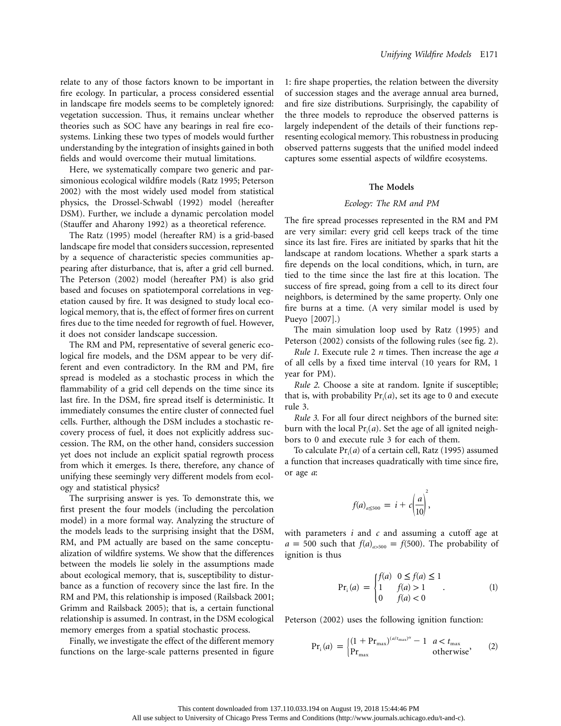relate to any of those factors known to be important in fire ecology. In particular, a process considered essential in landscape fire models seems to be completely ignored: vegetation succession. Thus, it remains unclear whether theories such as SOC have any bearings in real fire ecosystems. Linking these two types of models would further understanding by the integration of insights gained in both fields and would overcome their mutual limitations.

Here, we systematically compare two generic and parsimonious ecological wildfire models (Ratz 1995; Peterson 2002) with the most widely used model from statistical physics, the Drossel-Schwabl (1992) model (hereafter DSM). Further, we include a dynamic percolation model (Stauffer and Aharony 1992) as a theoretical reference.

The Ratz (1995) model (hereafter RM) is a grid-based landscape fire model that considers succession, represented by a sequence of characteristic species communities appearing after disturbance, that is, after a grid cell burned. The Peterson (2002) model (hereafter PM) is also grid based and focuses on spatiotemporal correlations in vegetation caused by fire. It was designed to study local ecological memory, that is, the effect of former fires on current fires due to the time needed for regrowth of fuel. However, it does not consider landscape succession.

The RM and PM, representative of several generic ecological fire models, and the DSM appear to be very different and even contradictory. In the RM and PM, fire spread is modeled as a stochastic process in which the flammability of a grid cell depends on the time since its last fire. In the DSM, fire spread itself is deterministic. It immediately consumes the entire cluster of connected fuel cells. Further, although the DSM includes a stochastic recovery process of fuel, it does not explicitly address succession. The RM, on the other hand, considers succession yet does not include an explicit spatial regrowth process from which it emerges. Is there, therefore, any chance of unifying these seemingly very different models from ecology and statistical physics?

The surprising answer is yes. To demonstrate this, we first present the four models (including the percolation model) in a more formal way. Analyzing the structure of the models leads to the surprising insight that the DSM, RM, and PM actually are based on the same conceptualization of wildfire systems. We show that the differences between the models lie solely in the assumptions made about ecological memory, that is, susceptibility to disturbance as a function of recovery since the last fire. In the RM and PM, this relationship is imposed (Railsback 2001; Grimm and Railsback 2005); that is, a certain functional relationship is assumed. In contrast, in the DSM ecological memory emerges from a spatial stochastic process.

Finally, we investigate the effect of the different memory functions on the large-scale patterns presented in figure

1: fire shape properties, the relation between the diversity of succession stages and the average annual area burned, and fire size distributions. Surprisingly, the capability of the three models to reproduce the observed patterns is largely independent of the details of their functions representing ecological memory. This robustness in producing observed patterns suggests that the unified model indeed captures some essential aspects of wildfire ecosystems.

## **The Models**

#### *Ecology: The RM and PM*

The fire spread processes represented in the RM and PM are very similar: every grid cell keeps track of the time since its last fire. Fires are initiated by sparks that hit the landscape at random locations. Whether a spark starts a fire depends on the local conditions, which, in turn, are tied to the time since the last fire at this location. The success of fire spread, going from a cell to its direct four neighbors, is determined by the same property. Only one fire burns at a time. (A very similar model is used by Pueyo [2007].)

The main simulation loop used by Ratz (1995) and Peterson (2002) consists of the following rules (see fig. 2).

*Rule 1*. Execute rule 2 *n* times. Then increase the age *a* of all cells by a fixed time interval (10 years for RM, 1 year for PM).

*Rule 2*. Choose a site at random. Ignite if susceptible; that is, with probability  $Pr_i(a)$ , set its age to 0 and execute rule 3.

*Rule 3*. For all four direct neighbors of the burned site: burn with the local Pr<sub>i</sub>(a). Set the age of all ignited neighbors to 0 and execute rule 3 for each of them.

To calculate Pr<sub>i</sub>(a) of a certain cell, Ratz (1995) assumed a function that increases quadratically with time since fire, or age *a*:

$$
f(a)_{a \le 500} = i + c \left(\frac{a}{10}\right)^2,
$$

with parameters *i* and *c* and assuming a cutoff age at  $a = 500$  such that  $f(a)_{a>500} = f(500)$ . The probability of ignition is thus

$$
Pr_{i}(a) = \begin{cases} f(a) & 0 \le f(a) \le 1 \\ 1 & f(a) > 1 \\ 0 & f(a) < 0 \end{cases}
$$
 (1)

Peterson (2002) uses the following ignition function:

$$
Pr_i(a) = \begin{cases} (1 + Pr_{\text{max}})^{(a/t_{\text{max}})^{\alpha}} - 1 & a < t_{\text{max}} \\ Pr_{\text{max}} & \text{otherwise} \end{cases}
$$
 (2)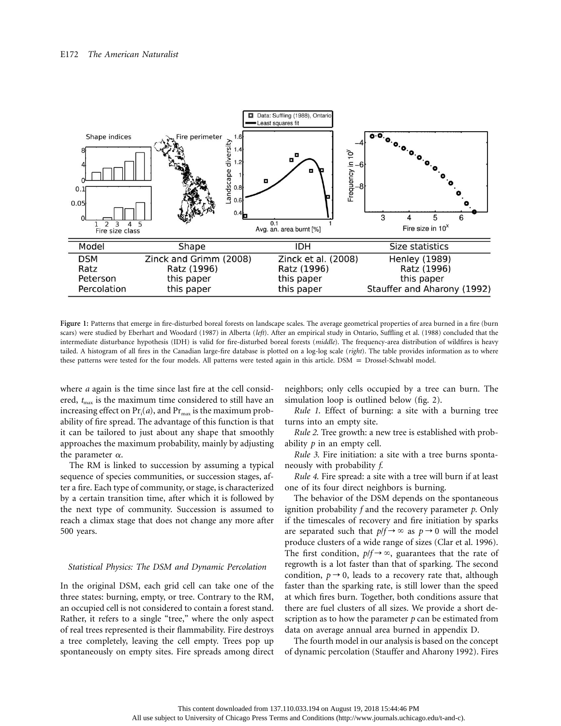

**Figure 1:** Patterns that emerge in fire-disturbed boreal forests on landscape scales. The average geometrical properties of area burned in a fire (burn scars) were studied by Eberhart and Woodard (1987) in Alberta (*left*). After an empirical study in Ontario, Suffling et al. (1988) concluded that the intermediate disturbance hypothesis (IDH) is valid for fire-disturbed boreal forests (*middle*). The frequency-area distribution of wildfires is heavy tailed. A histogram of all fires in the Canadian large-fire database is plotted on a log-log scale (*right*). The table provides information as to where these patterns were tested for the four models. All patterns were tested again in this article.  $DSM = Drosel-Schwabl model$ .

where *a* again is the time since last fire at the cell considered,  $t_{\text{max}}$  is the maximum time considered to still have an increasing effect on  $Pr_i(a)$ , and  $Pr_{max}$  is the maximum probability of fire spread. The advantage of this function is that it can be tailored to just about any shape that smoothly approaches the maximum probability, mainly by adjusting the parameter  $\alpha$ .

The RM is linked to succession by assuming a typical sequence of species communities, or succession stages, after a fire. Each type of community, or stage, is characterized by a certain transition time, after which it is followed by the next type of community. Succession is assumed to reach a climax stage that does not change any more after 500 years.

# *Statistical Physics: The DSM and Dynamic Percolation*

In the original DSM, each grid cell can take one of the three states: burning, empty, or tree. Contrary to the RM, an occupied cell is not considered to contain a forest stand. Rather, it refers to a single "tree," where the only aspect of real trees represented is their flammability. Fire destroys a tree completely, leaving the cell empty. Trees pop up spontaneously on empty sites. Fire spreads among direct neighbors; only cells occupied by a tree can burn. The simulation loop is outlined below (fig. 2).

*Rule 1*. Effect of burning: a site with a burning tree turns into an empty site.

*Rule 2*. Tree growth: a new tree is established with probability *p* in an empty cell.

*Rule 3*. Fire initiation: a site with a tree burns spontaneously with probability *f*.

*Rule 4*. Fire spread: a site with a tree will burn if at least one of its four direct neighbors is burning.

The behavior of the DSM depends on the spontaneous ignition probability *f* and the recovery parameter *p*. Only if the timescales of recovery and fire initiation by sparks are separated such that  $p/f \rightarrow \infty$  as  $p \rightarrow 0$  will the model produce clusters of a wide range of sizes (Clar et al. 1996). The first condition,  $p/f \rightarrow \infty$ , guarantees that the rate of regrowth is a lot faster than that of sparking. The second condition,  $p \rightarrow 0$ , leads to a recovery rate that, although faster than the sparking rate, is still lower than the speed at which fires burn. Together, both conditions assure that there are fuel clusters of all sizes. We provide a short description as to how the parameter *p* can be estimated from data on average annual area burned in appendix D.

The fourth model in our analysis is based on the concept of dynamic percolation (Stauffer and Aharony 1992). Fires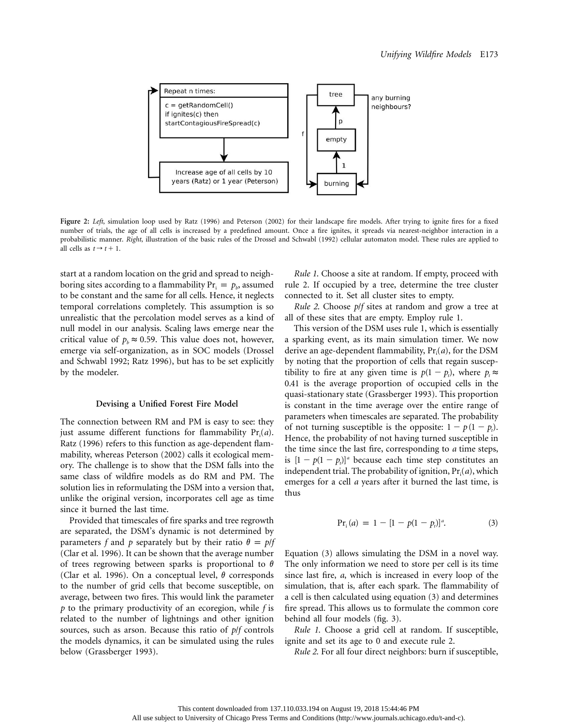

Figure 2: Left, simulation loop used by Ratz (1996) and Peterson (2002) for their landscape fire models. After trying to ignite fires for a fixed number of trials, the age of all cells is increased by a predefined amount. Once a fire ignites, it spreads via nearest-neighbor interaction in a probabilistic manner. *Right*, illustration of the basic rules of the Drossel and Schwabl (1992) cellular automaton model. These rules are applied to all cells as  $t \rightarrow t + 1$ .

start at a random location on the grid and spread to neighboring sites according to a flammability  $Pr_i = p_b$ , assumed to be constant and the same for all cells. Hence, it neglects temporal correlations completely. This assumption is so unrealistic that the percolation model serves as a kind of null model in our analysis. Scaling laws emerge near the critical value of  $p_h \approx 0.59$ . This value does not, however, emerge via self-organization, as in SOC models (Drossel and Schwabl 1992; Ratz 1996), but has to be set explicitly by the modeler.

#### **Devising a Unified Forest Fire Model**

The connection between RM and PM is easy to see: they just assume different functions for flammability  $Pr_i(a)$ . Ratz (1996) refers to this function as age-dependent flammability, whereas Peterson (2002) calls it ecological memory. The challenge is to show that the DSM falls into the same class of wildfire models as do RM and PM. The solution lies in reformulating the DSM into a version that, unlike the original version, incorporates cell age as time since it burned the last time.

Provided that timescales of fire sparks and tree regrowth are separated, the DSM's dynamic is not determined by parameters *f* and *p* separately but by their ratio  $\theta = p/f$ (Clar et al. 1996). It can be shown that the average number of trees regrowing between sparks is proportional to  $\theta$ (Clar et al. 1996). On a conceptual level,  $\theta$  corresponds to the number of grid cells that become susceptible, on average, between two fires. This would link the parameter *p* to the primary productivity of an ecoregion, while *f* is related to the number of lightnings and other ignition sources, such as arson. Because this ratio of  $p/f$  controls the models dynamics, it can be simulated using the rules below (Grassberger 1993).

*Rule 1*. Choose a site at random. If empty, proceed with rule 2. If occupied by a tree, determine the tree cluster connected to it. Set all cluster sites to empty.

*Rule 2.* Choose *p*/*f* sites at random and grow a tree at all of these sites that are empty. Employ rule 1.

This version of the DSM uses rule 1, which is essentially a sparking event, as its main simulation timer. We now derive an age-dependent flammability, Pr<sub>i</sub>(a), for the DSM by noting that the proportion of cells that regain susceptibility to fire at any given time is  $p(1 - p_t)$ , where  $p_t \approx$ 0.41 is the average proportion of occupied cells in the quasi-stationary state (Grassberger 1993). This proportion is constant in the time average over the entire range of parameters when timescales are separated. The probability of not turning susceptible is the opposite:  $1 - p(1 - p_t)$ . Hence, the probability of not having turned susceptible in the time since the last fire, corresponding to *a* time steps, is  $[1 - p(1 - p_i)]^a$  because each time step constitutes an independent trial. The probability of ignition, Pr<sub>i</sub>(a), which emerges for a cell *a* years after it burned the last time, is thus

$$
Pr_i(a) = 1 - [1 - p(1 - p_i)]^a.
$$
 (3)

Equation (3) allows simulating the DSM in a novel way. The only information we need to store per cell is its time since last fire, *a*, which is increased in every loop of the simulation, that is, after each spark. The flammability of a cell is then calculated using equation (3) and determines fire spread. This allows us to formulate the common core behind all four models (fig. 3).

*Rule 1*. Choose a grid cell at random. If susceptible, ignite and set its age to 0 and execute rule 2.

*Rule 2*. For all four direct neighbors: burn if susceptible,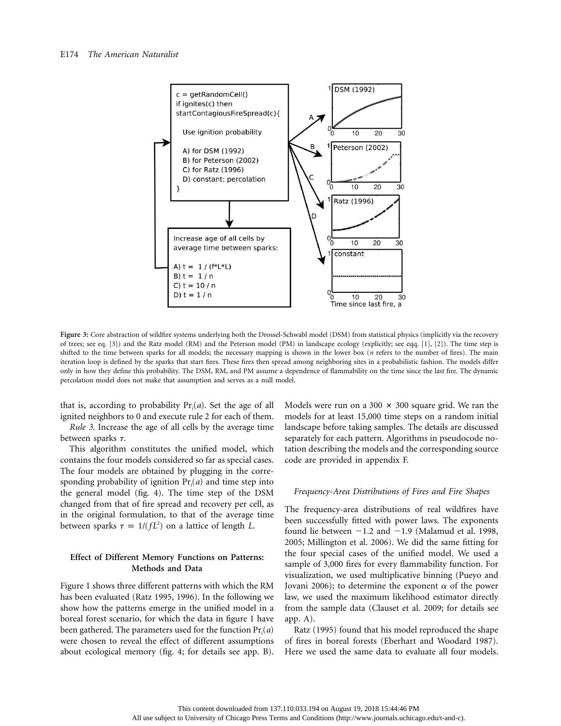

Figure 3: Core abstraction of wildfire systems underlying both the Drossel-Schwabl model (DSM) from statistical physics (implicitly via the recovery of trees; see eq. [3]) and the Ratz model (RM) and the Peterson model (PM) in landscape ecology (explicitly; see eqq. [1], [2]). The time step is shifted to the time between sparks for all models; the necessary mapping is shown in the lower box (*n* refers to the number of fires). The main iteration loop is defined by the sparks that start fires. These fires then spread among neighboring sites in a probabilistic fashion. The models differ only in how they define this probability. The DSM, RM, and PM assume a dependence of flammability on the time since the last fire. The dynamic percolation model does not make that assumption and serves as a null model.

that is, according to probability  $Pr_i(a)$ . Set the age of all ignited neighbors to 0 and execute rule 2 for each of them.

*Rule 3*. Increase the age of all cells by the average time between sparks  $\tau$ .

This algorithm constitutes the unified model, which contains the four models considered so far as special cases. The four models are obtained by plugging in the corresponding probability of ignition  $Pr_i(a)$  and time step into the general model (fig. 4). The time step of the DSM changed from that of fire spread and recovery per cell, as in the original formulation, to that of the average time between sparks  $\tau = 1/(fL^2)$  on a lattice of length *L*.

# **Effect of Different Memory Functions on Patterns: Methods and Data**

Figure 1 shows three different patterns with which the RM has been evaluated (Ratz 1995, 1996). In the following we show how the patterns emerge in the unified model in a boreal forest scenario, for which the data in figure 1 have been gathered. The parameters used for the function  $Pr_i(a)$ were chosen to reveal the effect of different assumptions about ecological memory (fig. 4; for details see app. B). Models were run on a 300  $\times$  300 square grid. We ran the models for at least 15,000 time steps on a random initial landscape before taking samples. The details are discussed separately for each pattern. Algorithms in pseudocode notation describing the models and the corresponding source code are provided in appendix F.

### *Frequency-Area Distributions of Fires and Fire Shapes*

The frequency-area distributions of real wildfires have been successfully fitted with power laws. The exponents found lie between  $-1.2$  and  $-1.9$  (Malamud et al. 1998, 2005; Millington et al. 2006). We did the same fitting for the four special cases of the unified model. We used a sample of 3,000 fires for every flammability function. For visualization, we used multiplicative binning (Pueyo and Jovani 2006); to determine the exponent  $\alpha$  of the power law, we used the maximum likelihood estimator directly from the sample data (Clauset et al. 2009; for details see app. A).

Ratz (1995) found that his model reproduced the shape of fires in boreal forests (Eberhart and Woodard 1987). Here we used the same data to evaluate all four models.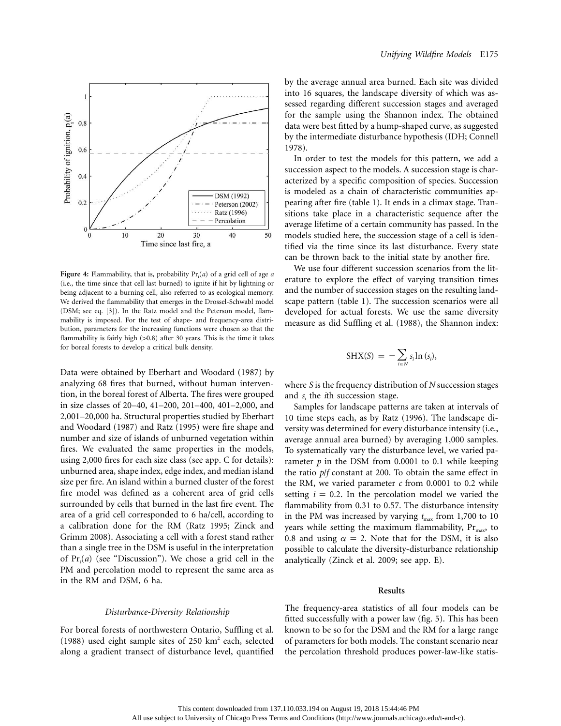

Figure 4: Flammability, that is, probability Pr<sub>i</sub>(a) of a grid cell of age a (i.e., the time since that cell last burned) to ignite if hit by lightning or being adjacent to a burning cell, also referred to as ecological memory. We derived the flammability that emerges in the Drossel-Schwabl model (DSM; see eq. [3]). In the Ratz model and the Peterson model, flammability is imposed. For the test of shape- and frequency-area distribution, parameters for the increasing functions were chosen so that the flammability is fairly high (>0.8) after 30 years. This is the time it takes for boreal forests to develop a critical bulk density.

Data were obtained by Eberhart and Woodard (1987) by analyzing 68 fires that burned, without human intervention, in the boreal forest of Alberta. The fires were grouped in size classes of 20–40, 41–200, 201–400, 401–2,000, and 2,001–20,000 ha. Structural properties studied by Eberhart and Woodard (1987) and Ratz (1995) were fire shape and number and size of islands of unburned vegetation within fires. We evaluated the same properties in the models, using 2,000 fires for each size class (see app. C for details): unburned area, shape index, edge index, and median island size per fire. An island within a burned cluster of the forest fire model was defined as a coherent area of grid cells surrounded by cells that burned in the last fire event. The area of a grid cell corresponded to 6 ha/cell, according to a calibration done for the RM (Ratz 1995; Zinck and Grimm 2008). Associating a cell with a forest stand rather than a single tree in the DSM is useful in the interpretation of Pr<sub>i</sub>(*a*) (see "Discussion"). We chose a grid cell in the PM and percolation model to represent the same area as in the RM and DSM, 6 ha.

by the average annual area burned. Each site was divided into 16 squares, the landscape diversity of which was assessed regarding different succession stages and averaged for the sample using the Shannon index. The obtained data were best fitted by a hump-shaped curve, as suggested by the intermediate disturbance hypothesis (IDH; Connell 1978).

In order to test the models for this pattern, we add a succession aspect to the models. A succession stage is characterized by a specific composition of species. Succession is modeled as a chain of characteristic communities appearing after fire (table 1). It ends in a climax stage. Transitions take place in a characteristic sequence after the average lifetime of a certain community has passed. In the models studied here, the succession stage of a cell is identified via the time since its last disturbance. Every state can be thrown back to the initial state by another fire.

We use four different succession scenarios from the literature to explore the effect of varying transition times and the number of succession stages on the resulting landscape pattern (table 1). The succession scenarios were all developed for actual forests. We use the same diversity measure as did Suffling et al. (1988), the Shannon index:

$$
SHX(S) = -\sum_{i \in N} s_i \ln{(s_i)},
$$

where *S* is the frequency distribution of *N* succession stages and *si* the *i*th succession stage.

Samples for landscape patterns are taken at intervals of 10 time steps each, as by Ratz (1996). The landscape diversity was determined for every disturbance intensity (i.e., average annual area burned) by averaging 1,000 samples. To systematically vary the disturbance level, we varied parameter  $p$  in the DSM from 0.0001 to 0.1 while keeping the ratio  $p/f$  constant at 200. To obtain the same effect in the RM, we varied parameter *c* from 0.0001 to 0.2 while setting  $i = 0.2$ . In the percolation model we varied the flammability from 0.31 to 0.57. The disturbance intensity in the PM was increased by varying  $t_{\text{max}}$  from 1,700 to 10 years while setting the maximum flammability,  $Pr_{max}$ , to 0.8 and using  $\alpha = 2$ . Note that for the DSM, it is also possible to calculate the diversity-disturbance relationship analytically (Zinck et al. 2009; see app. E).

#### **Results**

#### *Disturbance-Diversity Relationship*

For boreal forests of northwestern Ontario, Suffling et al. (1988) used eight sample sites of  $250 \text{ km}^2$  each, selected along a gradient transect of disturbance level, quantified The frequency-area statistics of all four models can be fitted successfully with a power law (fig. 5). This has been known to be so for the DSM and the RM for a large range of parameters for both models. The constant scenario near the percolation threshold produces power-law-like statis-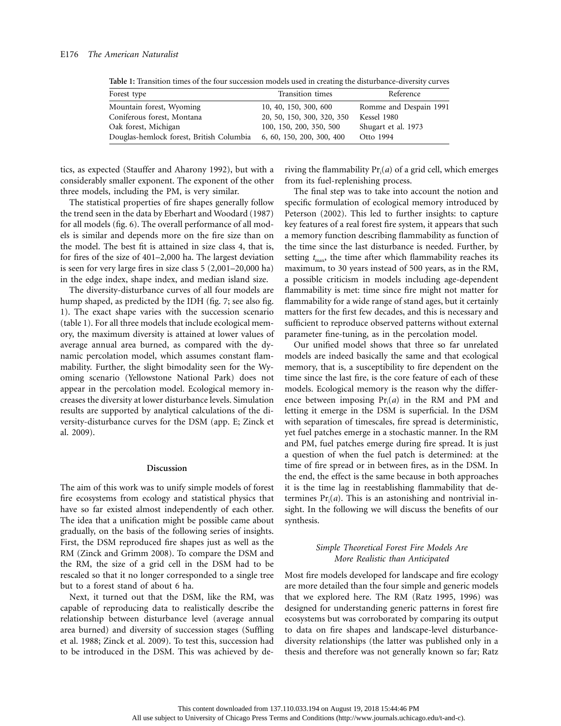**Table 1:** Transition times of the four succession models used in creating the disturbance-diversity curves

| Forest type                              | Transition times           | Reference              |
|------------------------------------------|----------------------------|------------------------|
| Mountain forest, Wyoming                 | 10, 40, 150, 300, 600      | Romme and Despain 1991 |
| Coniferous forest, Montana               | 20, 50, 150, 300, 320, 350 | Kessel 1980            |
| Oak forest, Michigan                     | 100, 150, 200, 350, 500    | Shugart et al. 1973    |
| Douglas-hemlock forest, British Columbia | 6, 60, 150, 200, 300, 400  | Otto 1994              |

tics, as expected (Stauffer and Aharony 1992), but with a considerably smaller exponent. The exponent of the other three models, including the PM, is very similar.

The statistical properties of fire shapes generally follow the trend seen in the data by Eberhart and Woodard (1987) for all models (fig. 6). The overall performance of all models is similar and depends more on the fire size than on the model. The best fit is attained in size class 4, that is, for fires of the size of 401–2,000 ha. The largest deviation is seen for very large fires in size class 5 (2,001–20,000 ha) in the edge index, shape index, and median island size.

The diversity-disturbance curves of all four models are hump shaped, as predicted by the IDH (fig. 7; see also fig. 1). The exact shape varies with the succession scenario (table 1). For all three models that include ecological memory, the maximum diversity is attained at lower values of average annual area burned, as compared with the dynamic percolation model, which assumes constant flammability. Further, the slight bimodality seen for the Wyoming scenario (Yellowstone National Park) does not appear in the percolation model. Ecological memory increases the diversity at lower disturbance levels. Simulation results are supported by analytical calculations of the diversity-disturbance curves for the DSM (app. E; Zinck et al. 2009).

#### **Discussion**

The aim of this work was to unify simple models of forest fire ecosystems from ecology and statistical physics that have so far existed almost independently of each other. The idea that a unification might be possible came about gradually, on the basis of the following series of insights. First, the DSM reproduced fire shapes just as well as the RM (Zinck and Grimm 2008). To compare the DSM and the RM, the size of a grid cell in the DSM had to be rescaled so that it no longer corresponded to a single tree but to a forest stand of about 6 ha.

Next, it turned out that the DSM, like the RM, was capable of reproducing data to realistically describe the relationship between disturbance level (average annual area burned) and diversity of succession stages (Suffling et al. 1988; Zinck et al. 2009). To test this, succession had to be introduced in the DSM. This was achieved by de-

riving the flammability  $Pr_i(a)$  of a grid cell, which emerges from its fuel-replenishing process.

The final step was to take into account the notion and specific formulation of ecological memory introduced by Peterson (2002). This led to further insights: to capture key features of a real forest fire system, it appears that such a memory function describing flammability as function of the time since the last disturbance is needed. Further, by setting  $t_{\text{max}}$ , the time after which flammability reaches its maximum, to 30 years instead of 500 years, as in the RM, a possible criticism in models including age-dependent flammability is met: time since fire might not matter for flammability for a wide range of stand ages, but it certainly matters for the first few decades, and this is necessary and sufficient to reproduce observed patterns without external parameter fine-tuning, as in the percolation model.

Our unified model shows that three so far unrelated models are indeed basically the same and that ecological memory, that is, a susceptibility to fire dependent on the time since the last fire, is the core feature of each of these models. Ecological memory is the reason why the difference between imposing  $Pr_i(a)$  in the RM and PM and letting it emerge in the DSM is superficial. In the DSM with separation of timescales, fire spread is deterministic, yet fuel patches emerge in a stochastic manner. In the RM and PM, fuel patches emerge during fire spread. It is just a question of when the fuel patch is determined: at the time of fire spread or in between fires, as in the DSM. In the end, the effect is the same because in both approaches it is the time lag in reestablishing flammability that determines  $Pr_i(a)$ . This is an astonishing and nontrivial insight. In the following we will discuss the benefits of our synthesis.

# *Simple Theoretical Forest Fire Models Are More Realistic than Anticipated*

Most fire models developed for landscape and fire ecology are more detailed than the four simple and generic models that we explored here. The RM (Ratz 1995, 1996) was designed for understanding generic patterns in forest fire ecosystems but was corroborated by comparing its output to data on fire shapes and landscape-level disturbancediversity relationships (the latter was published only in a thesis and therefore was not generally known so far; Ratz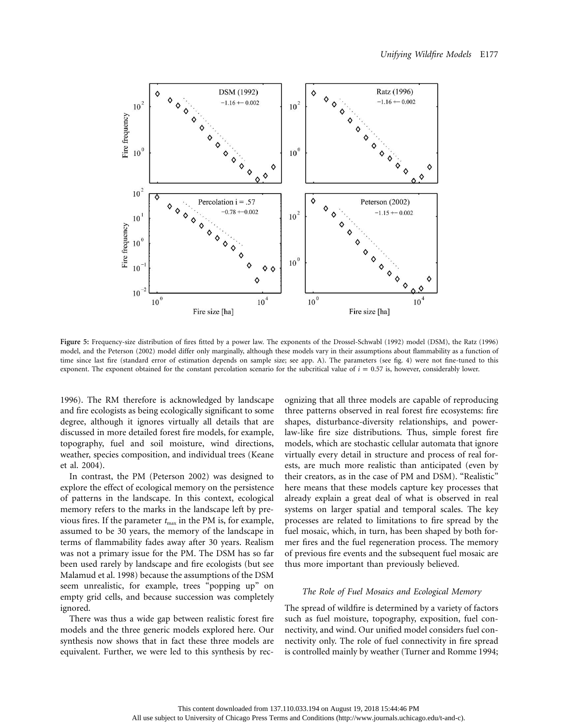

**Figure 5:** Frequency-size distribution of fires fitted by a power law. The exponents of the Drossel-Schwabl (1992) model (DSM), the Ratz (1996) model, and the Peterson (2002) model differ only marginally, although these models vary in their assumptions about flammability as a function of time since last fire (standard error of estimation depends on sample size; see app. A). The parameters (see fig. 4) were not fine-tuned to this exponent. The exponent obtained for the constant percolation scenario for the subcritical value of  $i = 0.57$  is, however, considerably lower.

1996). The RM therefore is acknowledged by landscape and fire ecologists as being ecologically significant to some degree, although it ignores virtually all details that are discussed in more detailed forest fire models, for example, topography, fuel and soil moisture, wind directions, weather, species composition, and individual trees (Keane et al. 2004).

In contrast, the PM (Peterson 2002) was designed to explore the effect of ecological memory on the persistence of patterns in the landscape. In this context, ecological memory refers to the marks in the landscape left by previous fires. If the parameter  $t_{\text{max}}$  in the PM is, for example, assumed to be 30 years, the memory of the landscape in terms of flammability fades away after 30 years. Realism was not a primary issue for the PM. The DSM has so far been used rarely by landscape and fire ecologists (but see Malamud et al. 1998) because the assumptions of the DSM seem unrealistic, for example, trees "popping up" on empty grid cells, and because succession was completely ignored.

There was thus a wide gap between realistic forest fire models and the three generic models explored here. Our synthesis now shows that in fact these three models are equivalent. Further, we were led to this synthesis by recognizing that all three models are capable of reproducing three patterns observed in real forest fire ecosystems: fire shapes, disturbance-diversity relationships, and powerlaw-like fire size distributions. Thus, simple forest fire models, which are stochastic cellular automata that ignore virtually every detail in structure and process of real forests, are much more realistic than anticipated (even by their creators, as in the case of PM and DSM). "Realistic" here means that these models capture key processes that already explain a great deal of what is observed in real systems on larger spatial and temporal scales. The key processes are related to limitations to fire spread by the fuel mosaic, which, in turn, has been shaped by both former fires and the fuel regeneration process. The memory of previous fire events and the subsequent fuel mosaic are thus more important than previously believed.

# *The Role of Fuel Mosaics and Ecological Memory*

The spread of wildfire is determined by a variety of factors such as fuel moisture, topography, exposition, fuel connectivity, and wind. Our unified model considers fuel connectivity only. The role of fuel connectivity in fire spread is controlled mainly by weather (Turner and Romme 1994;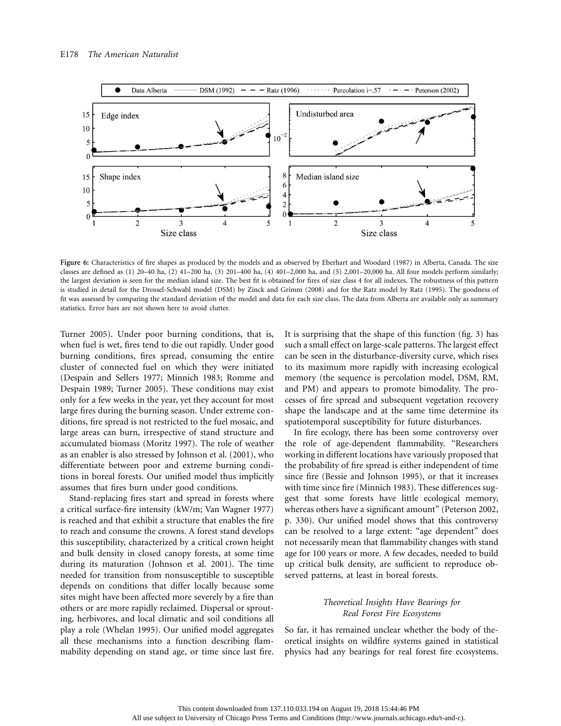

**Figure 6:** Characteristics of fire shapes as produced by the models and as observed by Eberhart and Woodard (1987) in Alberta, Canada. The size classes are defined as (1) 20–40 ha, (2) 41–200 ha, (3) 201–400 ha, (4) 401–2,000 ha, and (5) 2,001–20,000 ha. All four models perform similarly; the largest deviation is seen for the median island size. The best fit is obtained for fires of size class 4 for all indexes. The robustness of this pattern is studied in detail for the Drossel-Schwabl model (DSM) by Zinck and Grimm (2008) and for the Ratz model by Ratz (1995). The goodness of fit was assessed by comparing the standard deviation of the model and data for each size class. The data from Alberta are available only as summary statistics. Error bars are not shown here to avoid clutter.

Turner 2005). Under poor burning conditions, that is, when fuel is wet, fires tend to die out rapidly. Under good burning conditions, fires spread, consuming the entire cluster of connected fuel on which they were initiated (Despain and Sellers 1977; Minnich 1983; Romme and Despain 1989; Turner 2005). These conditions may exist only for a few weeks in the year, yet they account for most large fires during the burning season. Under extreme conditions, fire spread is not restricted to the fuel mosaic, and large areas can burn, irrespective of stand structure and accumulated biomass (Moritz 1997). The role of weather as an enabler is also stressed by Johnson et al. (2001), who differentiate between poor and extreme burning conditions in boreal forests. Our unified model thus implicitly assumes that fires burn under good conditions.

Stand-replacing fires start and spread in forests where a critical surface-fire intensity (kW/m; Van Wagner 1977) is reached and that exhibit a structure that enables the fire to reach and consume the crowns. A forest stand develops this susceptibility, characterized by a critical crown height and bulk density in closed canopy forests, at some time during its maturation (Johnson et al. 2001). The time needed for transition from nonsusceptible to susceptible depends on conditions that differ locally because some sites might have been affected more severely by a fire than others or are more rapidly reclaimed. Dispersal or sprouting, herbivores, and local climatic and soil conditions all play a role (Whelan 1995). Our unified model aggregates all these mechanisms into a function describing flammability depending on stand age, or time since last fire.

It is surprising that the shape of this function (fig. 3) has such a small effect on large-scale patterns. The largest effect can be seen in the disturbance-diversity curve, which rises to its maximum more rapidly with increasing ecological memory (the sequence is percolation model, DSM, RM, and PM) and appears to promote bimodality. The processes of fire spread and subsequent vegetation recovery shape the landscape and at the same time determine its spatiotemporal susceptibility for future disturbances.

In fire ecology, there has been some controversy over the role of age-dependent flammability. "Researchers working in different locations have variously proposed that the probability of fire spread is either independent of time since fire (Bessie and Johnson 1995), or that it increases with time since fire (Minnich 1983). These differences suggest that some forests have little ecological memory, whereas others have a significant amount" (Peterson 2002, p. 330). Our unified model shows that this controversy can be resolved to a large extent: "age dependent" does not necessarily mean that flammability changes with stand age for 100 years or more. A few decades, needed to build up critical bulk density, are sufficient to reproduce observed patterns, at least in boreal forests.

#### *Theoretical Insights Have Bearings for Real Forest Fire Ecosystems*

So far, it has remained unclear whether the body of theoretical insights on wildfire systems gained in statistical physics had any bearings for real forest fire ecosystems.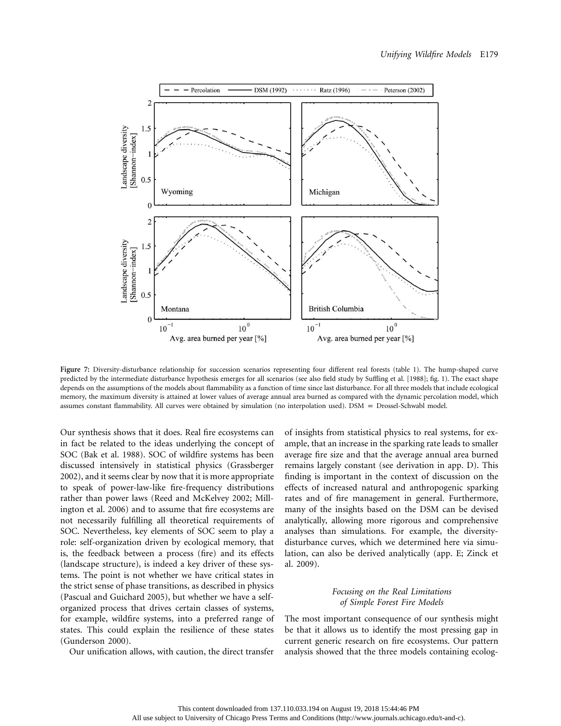

**Figure 7:** Diversity-disturbance relationship for succession scenarios representing four different real forests (table 1). The hump-shaped curve predicted by the intermediate disturbance hypothesis emerges for all scenarios (see also field study by Suffling et al. [1988]; fig. 1). The exact shape depends on the assumptions of the models about flammability as a function of time since last disturbance. For all three models that include ecological memory, the maximum diversity is attained at lower values of average annual area burned as compared with the dynamic percolation model, which assumes constant flammability. All curves were obtained by simulation (no interpolation used).  $DSM = Drosel-Schwabl model$ .

Our synthesis shows that it does. Real fire ecosystems can in fact be related to the ideas underlying the concept of SOC (Bak et al. 1988). SOC of wildfire systems has been discussed intensively in statistical physics (Grassberger 2002), and it seems clear by now that it is more appropriate to speak of power-law-like fire-frequency distributions rather than power laws (Reed and McKelvey 2002; Millington et al. 2006) and to assume that fire ecosystems are not necessarily fulfilling all theoretical requirements of SOC. Nevertheless, key elements of SOC seem to play a role: self-organization driven by ecological memory, that is, the feedback between a process (fire) and its effects (landscape structure), is indeed a key driver of these systems. The point is not whether we have critical states in the strict sense of phase transitions, as described in physics (Pascual and Guichard 2005), but whether we have a selforganized process that drives certain classes of systems, for example, wildfire systems, into a preferred range of states. This could explain the resilience of these states (Gunderson 2000).

Our unification allows, with caution, the direct transfer

of insights from statistical physics to real systems, for example, that an increase in the sparking rate leads to smaller average fire size and that the average annual area burned remains largely constant (see derivation in app. D). This finding is important in the context of discussion on the effects of increased natural and anthropogenic sparking rates and of fire management in general. Furthermore, many of the insights based on the DSM can be devised analytically, allowing more rigorous and comprehensive analyses than simulations. For example, the diversitydisturbance curves, which we determined here via simulation, can also be derived analytically (app. E; Zinck et al. 2009).

## *Focusing on the Real Limitations of Simple Forest Fire Models*

The most important consequence of our synthesis might be that it allows us to identify the most pressing gap in current generic research on fire ecosystems. Our pattern analysis showed that the three models containing ecolog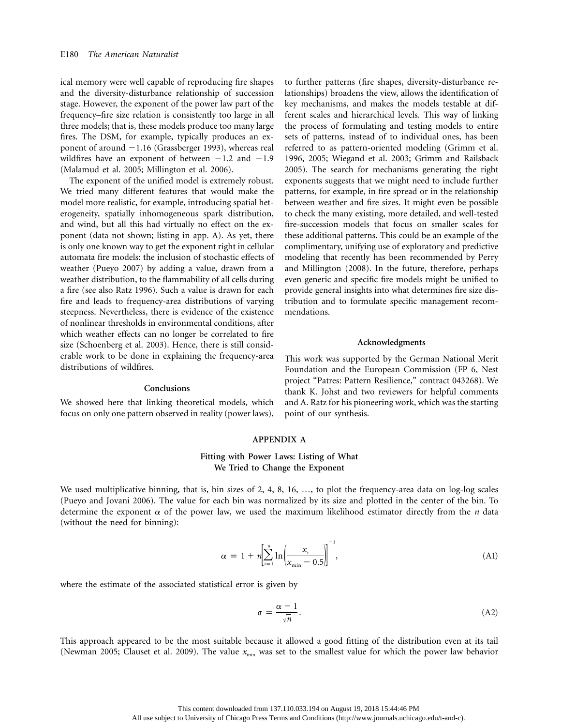ical memory were well capable of reproducing fire shapes and the diversity-disturbance relationship of succession stage. However, the exponent of the power law part of the frequency–fire size relation is consistently too large in all three models; that is, these models produce too many large fires. The DSM, for example, typically produces an exponent of around -1.16 (Grassberger 1993), whereas real wildfires have an exponent of between  $-1.2$  and  $-1.9$ (Malamud et al. 2005; Millington et al. 2006).

The exponent of the unified model is extremely robust. We tried many different features that would make the model more realistic, for example, introducing spatial heterogeneity, spatially inhomogeneous spark distribution, and wind, but all this had virtually no effect on the exponent (data not shown; listing in app. A). As yet, there is only one known way to get the exponent right in cellular automata fire models: the inclusion of stochastic effects of weather (Pueyo 2007) by adding a value, drawn from a weather distribution, to the flammability of all cells during a fire (see also Ratz 1996). Such a value is drawn for each fire and leads to frequency-area distributions of varying steepness. Nevertheless, there is evidence of the existence of nonlinear thresholds in environmental conditions, after which weather effects can no longer be correlated to fire size (Schoenberg et al. 2003). Hence, there is still considerable work to be done in explaining the frequency-area distributions of wildfires.

#### **Conclusions**

We showed here that linking theoretical models, which focus on only one pattern observed in reality (power laws),

to further patterns (fire shapes, diversity-disturbance relationships) broadens the view, allows the identification of key mechanisms, and makes the models testable at different scales and hierarchical levels. This way of linking the process of formulating and testing models to entire sets of patterns, instead of to individual ones, has been referred to as pattern-oriented modeling (Grimm et al. 1996, 2005; Wiegand et al. 2003; Grimm and Railsback 2005). The search for mechanisms generating the right exponents suggests that we might need to include further patterns, for example, in fire spread or in the relationship between weather and fire sizes. It might even be possible to check the many existing, more detailed, and well-tested fire-succession models that focus on smaller scales for these additional patterns. This could be an example of the complimentary, unifying use of exploratory and predictive modeling that recently has been recommended by Perry and Millington (2008). In the future, therefore, perhaps even generic and specific fire models might be unified to provide general insights into what determines fire size distribution and to formulate specific management recommendations.

#### **Acknowledgments**

This work was supported by the German National Merit Foundation and the European Commission (FP 6, Nest project "Patres: Pattern Resilience," contract 043268). We thank K. Johst and two reviewers for helpful comments and A. Ratz for his pioneering work, which was the starting point of our synthesis.

#### **APPENDIX A**

## **Fitting with Power Laws: Listing of What We Tried to Change the Exponent**

We used multiplicative binning, that is, bin sizes of 2, 4, 8, 16, …, to plot the frequency-area data on log-log scales (Pueyo and Jovani 2006). The value for each bin was normalized by its size and plotted in the center of the bin. To determine the exponent  $\alpha$  of the power law, we used the maximum likelihood estimator directly from the *n* data (without the need for binning):

$$
\alpha = 1 + n \left[ \sum_{i=1}^{n} \ln \left( \frac{x_i}{x_{\min} - 0.5} \right) \right]^{-1}, \tag{A1}
$$

where the estimate of the associated statistical error is given by

$$
\sigma = \frac{\alpha - 1}{\sqrt{n}}.\tag{A2}
$$

This approach appeared to be the most suitable because it allowed a good fitting of the distribution even at its tail (Newman 2005; Clauset et al. 2009). The value  $x_{\text{min}}$  was set to the smallest value for which the power law behavior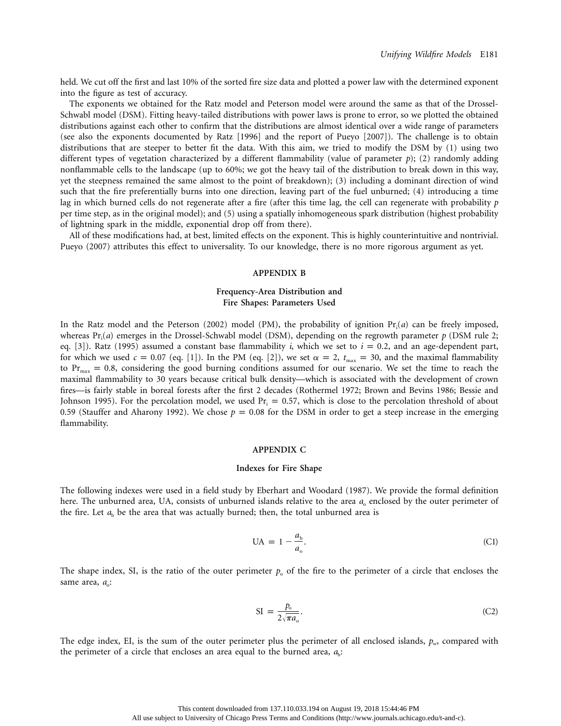held. We cut off the first and last 10% of the sorted fire size data and plotted a power law with the determined exponent into the figure as test of accuracy.

The exponents we obtained for the Ratz model and Peterson model were around the same as that of the Drossel-Schwabl model (DSM). Fitting heavy-tailed distributions with power laws is prone to error, so we plotted the obtained distributions against each other to confirm that the distributions are almost identical over a wide range of parameters (see also the exponents documented by Ratz [1996] and the report of Pueyo [2007]). The challenge is to obtain distributions that are steeper to better fit the data. With this aim, we tried to modify the DSM by (1) using two different types of vegetation characterized by a different flammability (value of parameter *p*); (2) randomly adding nonflammable cells to the landscape (up to 60%; we got the heavy tail of the distribution to break down in this way, yet the steepness remained the same almost to the point of breakdown); (3) including a dominant direction of wind such that the fire preferentially burns into one direction, leaving part of the fuel unburned; (4) introducing a time lag in which burned cells do not regenerate after a fire (after this time lag, the cell can regenerate with probability *p* per time step, as in the original model); and (5) using a spatially inhomogeneous spark distribution (highest probability of lightning spark in the middle, exponential drop off from there).

All of these modifications had, at best, limited effects on the exponent. This is highly counterintuitive and nontrivial. Pueyo (2007) attributes this effect to universality. To our knowledge, there is no more rigorous argument as yet.

#### **APPENDIX B**

## **Frequency-Area Distribution and Fire Shapes: Parameters Used**

In the Ratz model and the Peterson  $(2002)$  model  $(PM)$ , the probability of ignition  $Pr_i(a)$  can be freely imposed, whereas  $Pr_i(a)$  emerges in the Drossel-Schwabl model (DSM), depending on the regrowth parameter  $p$  (DSM rule 2; eq. [3]). Ratz (1995) assumed a constant base flammability *i*, which we set to  $i = 0.2$ , and an age-dependent part, for which we used  $c = 0.07$  (eq. [1]). In the PM (eq. [2]), we set  $\alpha = 2$ ,  $t_{\text{max}} = 30$ , and the maximal flammability to  $Pr_{max} = 0.8$ , considering the good burning conditions assumed for our scenario. We set the time to reach the maximal flammability to 30 years because critical bulk density—which is associated with the development of crown fires—is fairly stable in boreal forests after the first 2 decades (Rothermel 1972; Brown and Bevins 1986; Bessie and Johnson 1995). For the percolation model, we used  $Pr_i = 0.57$ , which is close to the percolation threshold of about 0.59 (Stauffer and Aharony 1992). We chose  $p = 0.08$  for the DSM in order to get a steep increase in the emerging flammability.

#### **APPENDIX C**

### **Indexes for Fire Shape**

The following indexes were used in a field study by Eberhart and Woodard (1987). We provide the formal definition here. The unburned area, UA, consists of unburned islands relative to the area  $a_0$  enclosed by the outer perimeter of the fire. Let  $a<sub>b</sub>$  be the area that was actually burned; then, the total unburned area is

$$
UA = 1 - \frac{a_b}{a_o}.\tag{C1}
$$

The shape index, SI, is the ratio of the outer perimeter  $p_0$  of the fire to the perimeter of a circle that encloses the same area,  $a_0$ :

$$
SI = \frac{p_o}{2\sqrt{\pi a_o}}.\tag{C2}
$$

The edge index, EI, is the sum of the outer perimeter plus the perimeter of all enclosed islands,  $p_w$ , compared with the perimeter of a circle that encloses an area equal to the burned area,  $a_{\rm b}$ :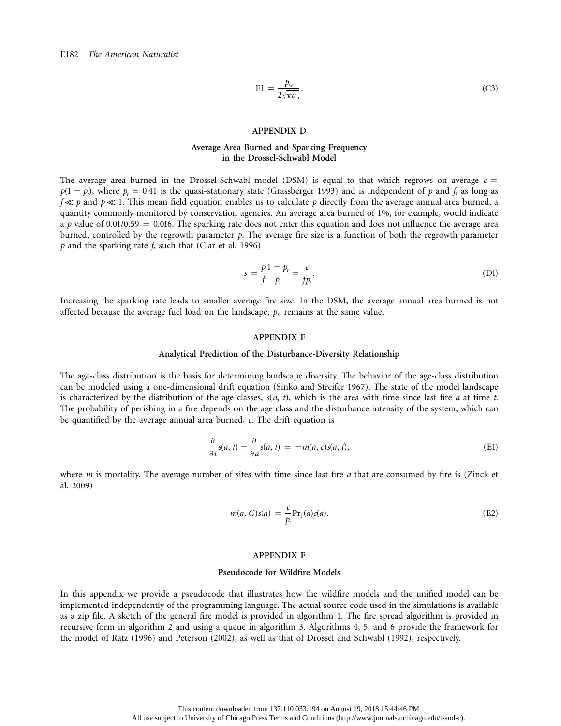$$
EI = \frac{p_w}{2\sqrt{\pi a_b}}.\tag{C3}
$$

#### **APPENDIX D**

# **Average Area Burned and Sparking Frequency in the Drossel-Schwabl Model**

The average area burned in the Drossel-Schwabl model (DSM) is equal to that which regrows on average  $c =$  $p(1-p_i)$ , where  $p_i = 0.41$  is the quasi-stationary state (Grassberger 1993) and is independent of *p* and *f*, as long as  $f \ll p$  and  $p \ll 1$ . This mean field equation enables us to calculate p directly from the average annual area burned, a quantity commonly monitored by conservation agencies. An average area burned of 1%, for example, would indicate a *p* value of  $0.01/0.59 = 0.016$ . The sparking rate does not enter this equation and does not influence the average area burned, controlled by the regrowth parameter *p*. The average fire size is a function of both the regrowth parameter *p* and the sparking rate *f*, such that (Clar et al. 1996)

$$
s = \frac{p}{f} \frac{1 - p_t}{p_t} = \frac{c}{fp_t}.
$$
 (D1)

Increasing the sparking rate leads to smaller average fire size. In the DSM, the average annual area burned is not affected because the average fuel load on the landscape,  $p_{\rho}$  remains at the same value.

## **APPENDIX E**

#### **Analytical Prediction of the Disturbance-Diversity Relationship**

The age-class distribution is the basis for determining landscape diversity. The behavior of the age-class distribution can be modeled using a one-dimensional drift equation (Sinko and Streifer 1967). The state of the model landscape is characterized by the distribution of the age classes, *s*(*a*, *t*), which is the area with time since last fire *a* at time *t*. The probability of perishing in a fire depends on the age class and the disturbance intensity of the system, which can be quantified by the average annual area burned, *c*. The drift equation is

$$
\frac{\partial}{\partial t}s(a, t) + \frac{\partial}{\partial a}s(a, t) = -m(a, c)s(a, t),
$$
\n(E1)

where *m* is mortality. The average number of sites with time since last fire *a* that are consumed by fire is (Zinck et al. 2009)

$$
m(a, C)s(a) = \frac{c}{p_t} \Pr_i(a)s(a). \tag{E2}
$$

## **APPENDIX F**

#### **Pseudocode for Wildfire Models**

In this appendix we provide a pseudocode that illustrates how the wildfire models and the unified model can be implemented independently of the programming language. The actual source code used in the simulations is available as a zip file. A sketch of the general fire model is provided in algorithm 1. The fire spread algorithm is provided in recursive form in algorithm 2 and using a queue in algorithm 3. Algorithms 4, 5, and 6 provide the framework for the model of Ratz (1996) and Peterson (2002), as well as that of Drossel and Schwabl (1992), respectively.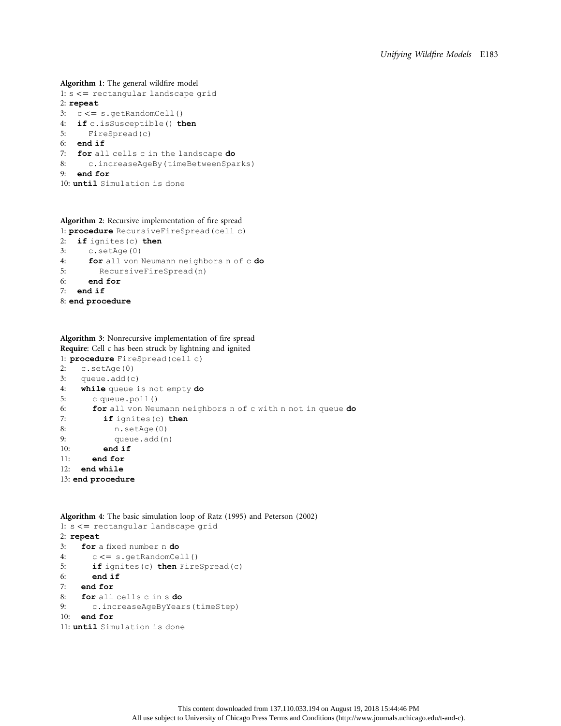```
Algorithm 1: The general wildfire model
1: s \leq p rectangular landscape grid
2: repeat
3: c \leq s \cdot \text{getRandomCell}()
4: if c.isSusceptible() then
5: FireSpread(c)
6: end if
7: for all cells c in the landscape do
8: c.increaseAgeBy(timeBetweenSparks)
9: end for
10: until Simulation is done
```

```
Algorithm 2: Recursive implementation of fire spread
1: procedure RecursiveFireSpread(cell c)
2: if ignites(c) then
3: c.setAge(0)
4: for all von Neumann neighbors n of c do
5: RecursiveFireSpread(n)
6: end for
7: end if
8: end procedure
```

```
Algorithm 3: Nonrecursive implementation of fire spread
Require: Cell c has been struck by lightning and ignited
1: procedure FireSpread(cell c)
```

```
2: c.setAge(0)
3: queue.add(c)
4: while queue is not empty do
5: c queue.poll()
6: for all von Neumann neighbors n of c with n not in queue do
7: if ignites(c) then
8: n.setAge(0)
9: queue.add(n)
10: end if
11: end for
12: end while
13: end procedure
```

```
Algorithm 4: The basic simulation loop of Ratz (1995) and Peterson (2002)
1: s \leq p rectangular landscape grid
```

```
2: repeat
3: for a fixed number n do
4: c \leq s \cdot \text{getRandomCell}5: if ignites(c) then FireSpread(c)
6: end if
7: end for
8: for all cells c in s do
9: c.increaseAgeByYears(timeStep)
10: end for
11: until Simulation is done
```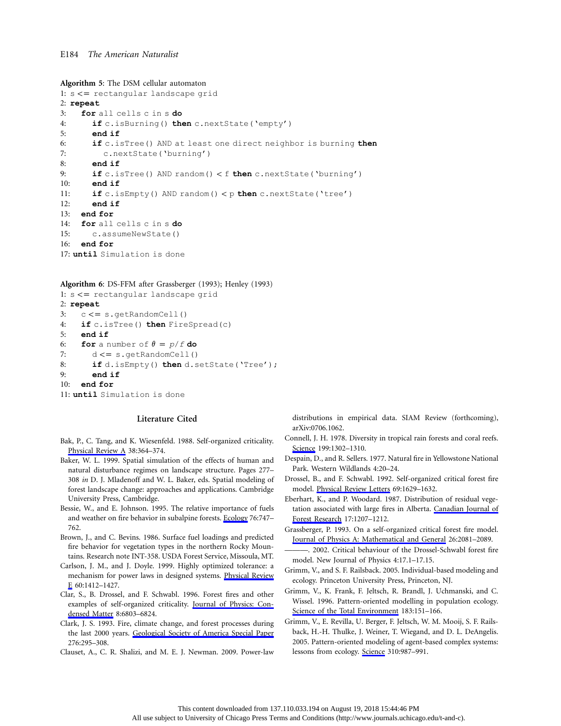#### **Algorithm 5**: The DSM cellular automaton

```
1: s \leq p rectangular landscape grid
2: repeat
3: for all cells c in s do
4: if c.isBurning() then c.nextState('empty')
5: end if
6: if c.isTree() AND at least one direct neighbor is burning then
7: c.nextState('burning')
8: end if
9: if c.isTree() AND random() \lt f then c.nextState('burning')
10: end if
11: if c.isEmpty() AND random() < p then c.nextState('tree')
12: end if
13: end for
14: for all cells c in s do
15: c.assumeNewState()
16: end for
17: until Simulation is done
```
**Algorithm 6**: DS-FFM after Grassberger (1993); Henley (1993)

```
1: s \leq p rectangular landscape grid
2: repeat
3: c \leq s \cdot \text{getRandomCell}()
4: if c.isTree() then FireSpread(c)
5: end if
6: for a number of \theta = p/f do
7: d \leq s \cdot getRandomCell()8: if d.isEmpty() then d.setState('Tree');
9: end if
10: end for
11: until Simulation is done
```
# **Literature Cited**

- Bak, P., C. Tang, and K. Wiesenfeld. 1988. Self-organized criticality. [Physical Review A](https://www.journals.uchicago.edu/action/showLinks?doi=10.1086%2F605959&pmid=9900174&crossref=10.1103%2FPhysRevA.38.364&citationId=p_2) 38:364–374.
- Baker, W. L. 1999. Spatial simulation of the effects of human and natural disturbance regimes on landscape structure. Pages 277– 308 *in* D. J. Mladenoff and W. L. Baker, eds. Spatial modeling of forest landscape change: approaches and applications. Cambridge University Press, Cambridge.
- Bessie, W., and E. Johnson. 1995. The relative importance of fuels and weather on fire behavior in subalpine forests. [Ecology](https://www.journals.uchicago.edu/action/showLinks?doi=10.1086%2F605959&crossref=10.2307%2F1939341&citationId=p_4) 76:747– 762.
- Brown, J., and C. Bevins. 1986. Surface fuel loadings and predicted fire behavior for vegetation types in the northern Rocky Mountains. Research note INT-358. USDA Forest Service, Missoula, MT.
- Carlson, J. M., and J. Doyle. 1999. Highly optimized tolerance: a mechanism for power laws in designed systems. [Physical Review](https://www.journals.uchicago.edu/action/showLinks?doi=10.1086%2F605959&pmid=11969901&crossref=10.1103%2FPhysRevE.60.1412&citationId=p_6) [E](https://www.journals.uchicago.edu/action/showLinks?doi=10.1086%2F605959&pmid=11969901&crossref=10.1103%2FPhysRevE.60.1412&citationId=p_6) 60:1412–1427.
- Clar, S., B. Drossel, and F. Schwabl. 1996. Forest fires and other examples of self-organized criticality. [Journal of Physics: Con](https://www.journals.uchicago.edu/action/showLinks?doi=10.1086%2F605959&crossref=10.1088%2F0953-8984%2F8%2F37%2F004&citationId=p_7)[densed Matter](https://www.journals.uchicago.edu/action/showLinks?doi=10.1086%2F605959&crossref=10.1088%2F0953-8984%2F8%2F37%2F004&citationId=p_7) 8:6803–6824.
- Clark, J. S. 1993. Fire, climate change, and forest processes during the last 2000 years. [Geological Society of America Special Paper](https://www.journals.uchicago.edu/action/showLinks?doi=10.1086%2F605959&crossref=10.1130%2FSPE276-p295&citationId=p_8) 276:295–308.
- Clauset, A., C. R. Shalizi, and M. E. J. Newman. 2009. Power-law

distributions in empirical data. SIAM Review (forthcoming), arXiv:0706.1062.

- Connell, J. H. 1978. Diversity in tropical rain forests and coral reefs. [Science](https://www.journals.uchicago.edu/action/showLinks?doi=10.1086%2F605959&pmid=17840770&crossref=10.1126%2Fscience.199.4335.1302&citationId=p_10) 199:1302–1310.
- Despain, D., and R. Sellers. 1977. Natural fire in Yellowstone National Park. Western Wildlands 4:20–24.
- Drossel, B., and F. Schwabl. 1992. Self-organized critical forest fire model. [Physical Review Letters](https://www.journals.uchicago.edu/action/showLinks?doi=10.1086%2F605959&pmid=10046273&crossref=10.1103%2FPhysRevLett.69.1629&citationId=p_12) 69:1629–1632.
- Eberhart, K., and P. Woodard. 1987. Distribution of residual vegetation associated with large fires in Alberta. [Canadian Journal of](https://www.journals.uchicago.edu/action/showLinks?doi=10.1086%2F605959&crossref=10.1139%2Fx87-186&citationId=p_13) [Forest Research](https://www.journals.uchicago.edu/action/showLinks?doi=10.1086%2F605959&crossref=10.1139%2Fx87-186&citationId=p_13) 17:1207–1212.
- Grassberger, P. 1993. On a self-organized critical forest fire model. [Journal of Physics A: Mathematical and General](https://www.journals.uchicago.edu/action/showLinks?doi=10.1086%2F605959&crossref=10.1088%2F0305-4470%2F26%2F9%2F007&citationId=p_14) 26:2081–2089.
- 2002. Critical behaviour of the Drossel-Schwabl forest fire model. New Journal of Physics 4:17.1–17.15.
- Grimm, V., and S. F. Railsback. 2005. Individual-based modeling and ecology. Princeton University Press, Princeton, NJ.
- Grimm, V., K. Frank, F. Jeltsch, R. Brandl, J. Uchmanski, and C. Wissel. 1996. Pattern-oriented modelling in population ecology. [Science of the Total Environment](https://www.journals.uchicago.edu/action/showLinks?doi=10.1086%2F605959&crossref=10.1016%2F0048-9697%2895%2904966-5&citationId=p_17) 183:151–166.
- Grimm, V., E. Revilla, U. Berger, F. Jeltsch, W. M. Mooij, S. F. Railsback, H.-H. Thulke, J. Weiner, T. Wiegand, and D. L. DeAngelis. 2005. Pattern-oriented modeling of agent-based complex systems: lessons from ecology. [Science](https://www.journals.uchicago.edu/action/showLinks?doi=10.1086%2F605959&pmid=16284171&crossref=10.1126%2Fscience.1116681&citationId=p_19) 310:987–991.